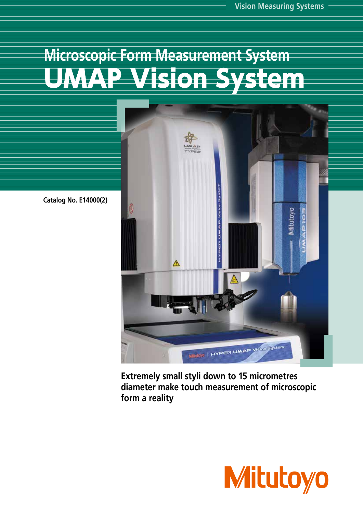# **Microscopic Form Measurement System Vision System** JNZ



**Catalog No. E14000(2)**

**Extremely small styli down to 15 micrometres diameter make touch measurement of microscopic form a reality**

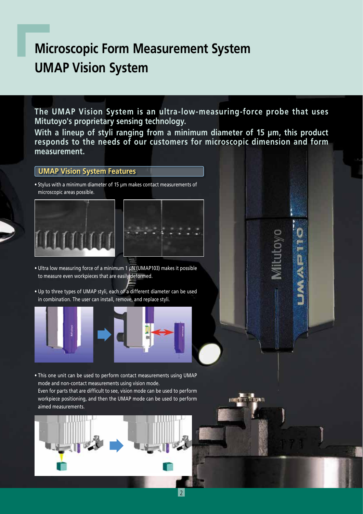# **Microscopic Form Measurement System UMAP Vision System**

**The UMAP Vision System is an ultra-low-measuring-force probe that uses Mitutoyo's proprietary sensing technology.**

**With a lineup of styli ranging from a minimum diameter of 15 µm, this product responds to the needs of our customers for microscopic dimension and form measurement.**

**OULGN** 

וועודעי זו נישות

#### **UMAP Vision System Features**

• Stylus with a minimum diameter of 15 µm makes contact measurements of microscopic areas possible.





- Ultra low measuring force of a minimum 1 µN (UMAP103) makes it possible to measure even workpieces that are easily deformed.
- Up to three types of UMAP styli, each of a different diameter can be used in combination. The user can install, remove, and replace styli.



• This one unit can be used to perform contact measurements using UMAP mode and non-contact measurements using vision mode. Even for parts that are difficult to see, vision mode can be used to perform workpiece positioning, and then the UMAP mode can be used to perform aimed measurements.

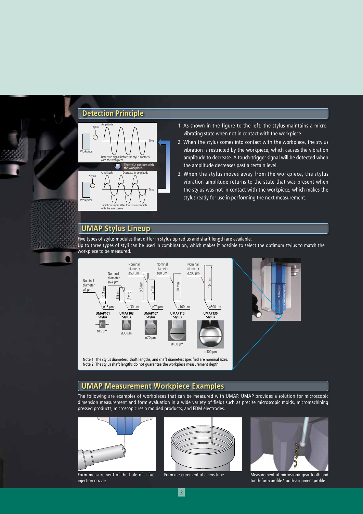#### **Detection Principle**



- 1. As shown in the figure to the left, the stylus maintains a microvibrating state when not in contact with the workpiece.
- 2. When the stylus comes into contact with the workpiece, the stylus vibration is restricted by the workpiece, which causes the vibration amplitude to decrease. A touch-trigger signal will be detected when the amplitude decreases past a certain level.
- 3. When the stylus moves away from the workpiece, the stylus vibration amplitude returns to the state that was present when the stylus was not in contact with the workpiece, which makes the stylus ready for use in performing the next measurement.

### **UMAP Stylus Lineup**

n

Five types of stylus modules that differ in stylus tip radius and shaft length are available. Up to three types of styli can be used in combination, which makes it possible to select the optimum stylus to match the workpiece to be measured.





Note 1: The stylus diameters, shaft lengths, and shaft diameters specified are nominal sizes. Note 2: The stylus shaft lengths do not guarantee the workpiece measurement depth.

#### **UMAP Measurement Workpiece Examples**

The following are examples of workpieces that can be measured with UMAP. UMAP provides a solution for microscopic dimension measurement and form evaluation in a wide variety of fields such as precise microscopic molds, micromachining pressed products, microscopic resin molded products, and EDM electrodes.



Form measurement of the hole of a fuel injection nozzle





Form measurement of a lens tube Measurement of microscopic gear tooth and tooth-form profile / tooth-alignment profile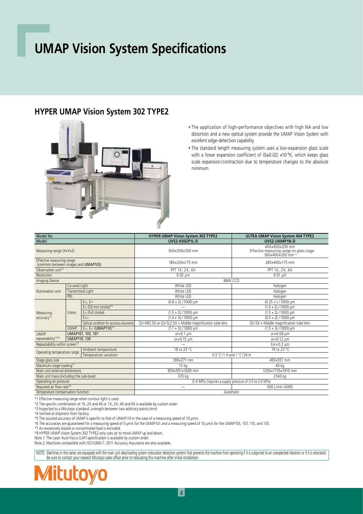# **UMAP Vision System Specifications**

### **HYPER UMAP Vision System 302 TYPE2**



• The application of high-performance objectives with high NA and low distortion and a new optical system provide the UMAP Vision System with excellent edge-detection capability.

• The standard length measuring system uses a low-expansion glass scale with a linear expansion coefficient of (0±0.02) ×10<sup>-6</sup>K, which keeps glass scale expansion /contraction due to temperature changes to the absolute minimum.

| Model No.                                                        |                                    |                                          | <b>HYPER UMAP Vision System 302 TYPE2</b>               | ULTRA UMAP Vision System 404 TYPE2                                              |  |
|------------------------------------------------------------------|------------------------------------|------------------------------------------|---------------------------------------------------------|---------------------------------------------------------------------------------|--|
| Model                                                            |                                    |                                          | <b>UVS2-H302P1L-D</b>                                   | <b>UVS2-U404P1N-D</b>                                                           |  |
| Measuring range (XxYxZ)                                          |                                    |                                          | 300×200×200 mm                                          | 400×400×200 mm<br>Effective measuring range on glass stage:<br>360x400x200 mm*1 |  |
| Effective measuring range<br>(common between images and UMAP103) |                                    |                                          | 185x200x175 mm                                          | 285x400x175 mm                                                                  |  |
| Observation unit <sup>*2</sup>                                   |                                    |                                          | PPT 1X, 2X, 6X                                          | PPT 1X, 2X, 6X                                                                  |  |
| Resolution                                                       |                                    |                                          | $0.02 \mu m$                                            | $0.01 \mu m$                                                                    |  |
| <b>Imaging Device</b>                                            |                                    |                                          | <b>B&amp;W CCD</b>                                      |                                                                                 |  |
|                                                                  | Co-axial Light                     |                                          | White LED                                               | Halogen                                                                         |  |
| Illumination unit                                                | <b>Transmitted Light</b>           |                                          | White LED                                               | Halogen                                                                         |  |
|                                                                  | PRL                                |                                          | White LED                                               | Halogen                                                                         |  |
|                                                                  | Vision                             | E1x, E1y                                 | $(0.8 + 2L/1000)$ µm                                    | $(0.25 + L/1000)$ µm                                                            |  |
|                                                                  |                                    | E <sub>12</sub> (50 mm stroke)*4         |                                                         | $(1.0 + 2L/1000)$ µm                                                            |  |
| Measuring                                                        |                                    | E <sub>12</sub> (full stroke)            | $(1.5 + 2L/1000)$ µm                                    | $(1.5 + 2L/1000)$ µm                                                            |  |
| $accuracy^*$                                                     |                                    | E <sub>2XY</sub>                         | $(1.4 + 3L/1000)$ µm                                    | $(0.5 + 2L/1000)$ µm                                                            |  |
|                                                                  |                                    | Optical condition for accuracy assurance | QV-HR2.5X or QV-SL2.5X + Middle magnification tube lens | QV-5X + Middle magnification tube lens                                          |  |
|                                                                  | <b>UMAP</b>                        | E1x, E1y (UMAP110)*5                     | $(1.7 + 3L/1000)$ µm                                    | $(1.5 + 3L/1000)$ µm                                                            |  |
| UMAP101, 103, 107<br><b>UMAP</b>                                 |                                    |                                          | $\sigma$ =0.1 um                                        | $\sigma$ =0.08 µm                                                               |  |
| repeatability*3*6                                                | <b>UMAP110, 130</b>                |                                          | $\sigma$ =0.15 µm                                       | $\sigma$ =0.12 µm                                                               |  |
| Repeatability within screen*3                                    |                                    |                                          |                                                         | $3\sigma = 0.2 \text{ µm}$                                                      |  |
| Operating temperature range                                      | 18 to 23 °C<br>Ambient temperature |                                          | 19 to 23 °C                                             |                                                                                 |  |
| Temperature variation                                            |                                    |                                          | 0.5 °C/1 H and 1 °C/24 H                                |                                                                                 |  |
| Stage glass size                                                 |                                    |                                          | 399×271 mm                                              | 493×551 mm                                                                      |  |
| Maximum stage loading*7                                          |                                    |                                          | 15 kg                                                   | 40 kg                                                                           |  |
| Main unit external dimensions                                    |                                    |                                          | 859×951×1609 mm                                         | 1200×1735×1910 mm                                                               |  |
| Main unit mass (including the sub-base)                          |                                    |                                          | 370 kg                                                  | 2160 kg                                                                         |  |
| Operating air pressure                                           |                                    |                                          | 0.4 MPa (requires a supply pressure of 0.5 to 0.9 MPa)  |                                                                                 |  |
| Required air flow rate*8                                         |                                    |                                          |                                                         | 300 L/min (ANR)                                                                 |  |
| Temperature compensation function                                |                                    |                                          | Automatic                                               |                                                                                 |  |

\*1 Effective measuring range when contour light is used.

\*2 The specific combination of 1X, 2X and 4X or 1X, 2X, 4X and 6X is available by custom order.

\*3 Inspected to a Mitutoyo standard. L=length between two arbitrary points (mm)

\*4 Verified at shipment from factory.

\*5 The assured accuracy of UMAP is specific to that of UMAP110 in the case of a measuring speed of 10 μm/s.

\*6 The accuracies are guaranteed for a measuring speed of 5 μm/s for the UMAP101 and a measuring speed of 10 μm/s for the UMAP103, 107, 110, and 130.

\*7 An excessively biased or concentrated load is excluded.

\*8 HYPER UMAP Vision System 302 TYPE2 only uses air to move UMAP up and down.

Note 1: The Laser Auto Focus (LAF) specification is available by custom order.

Note 2: Machines compatible with ISO10360-7: 2011 Accuracy Assurance are also available.

NOTE: Machines in this series are equipped with the main unit deactivating system (relocation detection system) that prevents the machine from operating if it is subjected to an unexpected vibration or if it is relocated<br>B

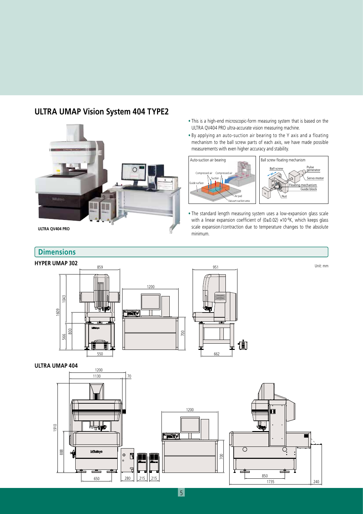### **ULTRA UMAP Vision System 404 TYPE2**



650

888

280

 $\circ$  $\overline{\mathbf{a}}$ 

- This is a high-end microscopic-form measuring system that is based on the ULTRA QV404 PRO ultra-accurate vision measuring machine.
- By applying an auto-suction air bearing to the Y axis and a floating mechanism to the ball screw parts of each axis, we have made possible measurements with even higher accuracy and stability.



• The standard length measuring system uses a low-expansion glass scale with a linear expansion coefficient of (0±0.02) ×10<sup>-6</sup>K, which keeps glass scale expansion /contraction due to temperature changes to the absolute minimum.

**ULTRA QV404 PRO**

#### **Dimensions**

#### **HYPER UMAP 302**



700

∩

215 215 215

1735 240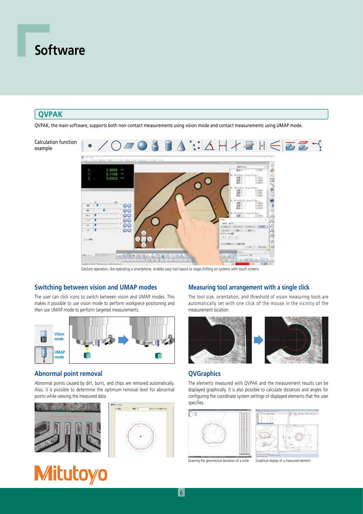## **Software**

#### **QVPAK**

QVPAK, the main software, supports both non-contact measurements using vision mode and contact measurements using UMAP mode.



Gesture operation, like operating a smartphone, enables easy tool layout or stage shifting on systems with touch screens.

#### **Switching between vision and UMAP modes**

The user can click icons to switch between vision and UMAP modes. This makes it possible to use vision mode to perform workpiece positioning and then use UMAP mode to perform targeted measurements.



#### **Abnormal point removal**

Abnormal points caused by dirt, burrs, and chips are removed automatically. Also, it is possible to determine the optimum removal level for abnormal points while viewing the measured data.



# **Mitutoyo**

#### **Measuring tool arrangement with a single click**

The tool size, orientation, and threshold of vision measuring tools are automatically set with one click of the mouse in the vicinity of the measurement location.



#### **QVGraphics**

The elements measured with QVPAK and the measurement results can be displayed graphically. It is also possible to calculate distances and angles for configuring the coordinate system settings of displayed elements that the user specifies.



Drawing the geometrical deviation of a circle Graphical display of a measured element

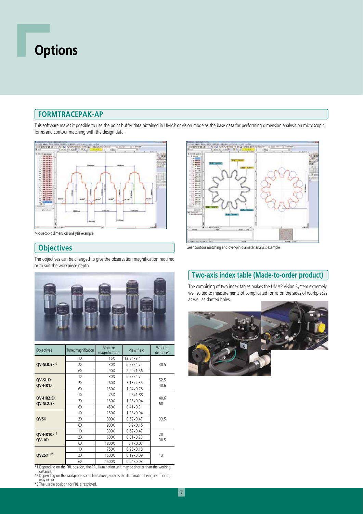# **Options**

#### **FORMTRACEPAK-AP**

This software makes it possible to use the point buffer data obtained in UMAP or vision mode as the base data for performing dimension analysis on microscopic forms and contour matching with the design data.



Microscopic dimension analysis example

#### **Objectives**

The objectives can be changed to give the observation magnification required or to suit the workpiece depth.



| Objectives                           | Turret magnification | Monitor<br>magnification | View field         | Working<br>distance*1 |
|--------------------------------------|----------------------|--------------------------|--------------------|-----------------------|
|                                      | 1X                   | 15X                      | 12.54×9.4          |                       |
| OV-SL0.5 $X^*{}^2$                   | 2X                   | 30X                      | 6.27×4.7           | 30.5                  |
|                                      | 6X                   | 90X                      | $2.09 \times 1.56$ |                       |
|                                      | 1X                   | 30X                      | 6.27×4.7           | 52.5<br>40.6          |
| QV-SL1X<br>QV-HR1X                   | 2X                   | 60X                      | 3.13×2.35          |                       |
|                                      | 6X                   | 180X                     | 1.04×0.78          |                       |
|                                      | 1X                   | 75X                      | 2.5×1.88           | 40.6<br>60            |
| <b>QV-HR2.5X</b><br><b>OV-SL2.5X</b> | 2X                   | 150X                     | 1.25×0.94          |                       |
|                                      | 6X                   | 450X                     | $0.41 \times 0.31$ |                       |
|                                      | 1X                   | 150X                     | 1.25×0.94          | 33.5                  |
| OV5X                                 | 2X                   | 300X                     | $0.62 \times 0.47$ |                       |
|                                      | 6X                   | 900X                     | $0.2 \times 0.15$  |                       |
|                                      | 1X                   | 300X                     | $0.62 \times 0.47$ | 20                    |
| QV-HR10X*2<br>$OV-10X$               | 2X                   | 600X                     | $0.31 \times 0.23$ | 30.5                  |
|                                      | 6X                   | 1800X                    | $0.1 \times 0.07$  |                       |
|                                      | 1X                   | 750X                     | $0.25 \times 0.18$ |                       |
| QV25X*2*3                            | 2X                   | 1500X                    | $0.12 \times 0.09$ | 13                    |
|                                      | 6X                   | 4500X                    | $0.04 \times 0.03$ |                       |

\*1 Depending on the PRL position, the PRL illumination unit may be shorter than the working distance.

\*2 Depending on the workpiece, some limitations, such as the illumination being insufficient, may occur. \*3 The usable position for PRL is restricted.



Gear contour matching and over-pin diameter analysis example

### **Two-axis index table (Made-to-order product)**

The combining of two index tables makes the UMAP Vision System extremely well suited to measurements of complicated forms on the sides of workpieces as well as slanted holes.